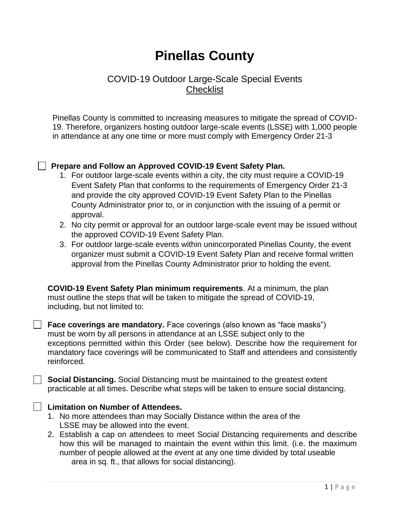# **Pinellas County**

# COVID-19 Outdoor Large-Scale Special Events **Checklist**

Pinellas County is committed to increasing measures to mitigate the spread of COVID-19. Therefore, organizers hosting outdoor large-scale events (LSSE) with 1,000 people in attendance at any one time or more must comply with Emergency Order 21-3

#### **Prepare and Follow an Approved COVID-19 Event Safety Plan.**

- 1. For outdoor large-scale events within a city, the city must require a COVID-19 Event Safety Plan that conforms to the requirements of Emergency Order 21-3 and provide the city approved COVID-19 Event Safety Plan to the Pinellas County Administrator prior to, or in conjunction with the issuing of a permit or approval.
- 2. No city permit or approval for an outdoor large-scale event may be issued without the approved COVID-19 Event Safety Plan.
- 3. For outdoor large-scale events within unincorporated Pinellas County, the event organizer must submit a COVID-19 Event Safety Plan and receive formal written approval from the Pinellas County Administrator prior to holding the event.

**COVID-19 Event Safety Plan minimum requirements**. At a minimum, the plan must outline the steps that will be taken to mitigate the spread of COVID-19, including, but not limited to:

**Face coverings are mandatory.** Face coverings (also known as "face masks") must be worn by all persons in attendance at an LSSE subject only to the exceptions permitted within this Order (see below). Describe how the requirement for mandatory face coverings will be communicated to Staff and attendees and consistently reinforced.

**Social Distancing.** Social Distancing must be maintained to the greatest extent practicable at all times. Describe what steps will be taken to ensure social distancing.

#### **Limitation on Number of Attendees.**

- 1. No more attendees than may Socially Distance within the area of the LSSE may be allowed into the event.
- 2. Establish a cap on attendees to meet Social Distancing requirements and describe how this will be managed to maintain the event within this limit. (i.e. the maximum number of people allowed at the event at any one time divided by total useable area in sq. ft., that allows for social distancing).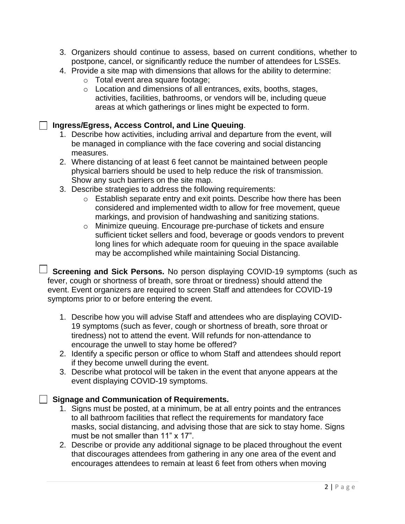- 3. Organizers should continue to assess, based on current conditions, whether to postpone, cancel, or significantly reduce the number of attendees for LSSEs.
- 4. Provide a site map with dimensions that allows for the ability to determine:
	- o Total event area square footage;
	- o Location and dimensions of all entrances, exits, booths, stages, activities, facilities, bathrooms, or vendors will be, including queue areas at which gatherings or lines might be expected to form.

#### **Ingress/Egress, Access Control, and Line Queuing**.

- 1. Describe how activities, including arrival and departure from the event, will be managed in compliance with the face covering and social distancing measures.
- 2. Where distancing of at least 6 feet cannot be maintained between people physical barriers should be used to help reduce the risk of transmission. Show any such barriers on the site map.
- 3. Describe strategies to address the following requirements:
	- o Establish separate entry and exit points. Describe how there has been considered and implemented width to allow for free movement, queue markings, and provision of handwashing and sanitizing stations.
	- o Minimize queuing. Encourage pre-purchase of tickets and ensure sufficient ticket sellers and food, beverage or goods vendors to prevent long lines for which adequate room for queuing in the space available may be accomplished while maintaining Social Distancing.

**Screening and Sick Persons.** No person displaying COVID-19 symptoms (such as fever, cough or shortness of breath, sore throat or tiredness) should attend the event. Event organizers are required to screen Staff and attendees for COVID-19 symptoms prior to or before entering the event.

- 1. Describe how you will advise Staff and attendees who are displaying COVID-19 symptoms (such as fever, cough or shortness of breath, sore throat or tiredness) not to attend the event. Will refunds for non-attendance to encourage the unwell to stay home be offered?
- 2. Identify a specific person or office to whom Staff and attendees should report if they become unwell during the event.
- 3. Describe what protocol will be taken in the event that anyone appears at the event displaying COVID-19 symptoms.

#### **Signage and Communication of Requirements.**

- 1. Signs must be posted, at a minimum, be at all entry points and the entrances to all bathroom facilities that reflect the requirements for mandatory face masks, social distancing, and advising those that are sick to stay home. Signs must be not smaller than 11" x 17".
- 2. Describe or provide any additional signage to be placed throughout the event that discourages attendees from gathering in any one area of the event and encourages attendees to remain at least 6 feet from others when moving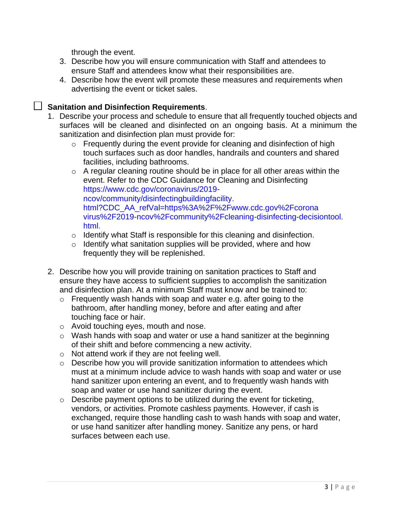through the event.

- 3. Describe how you will ensure communication with Staff and attendees to ensure Staff and attendees know what their responsibilities are.
- 4. Describe how the event will promote these measures and requirements when advertising the event or ticket sales.

# **Sanitation and Disinfection Requirements**.

- 1. Describe your process and schedule to ensure that all frequently touched objects and surfaces will be cleaned and disinfected on an ongoing basis. At a minimum the sanitization and disinfection plan must provide for:
	- o Frequently during the event provide for cleaning and disinfection of high touch surfaces such as door handles, handrails and counters and shared facilities, including bathrooms.
	- o A regular cleaning routine should be in place for all other areas within the event. Refer to the CDC Guidance for Cleaning and Disinfecting https://www.cdc.gov/coronavirus/2019 ncov/community/disinfectingbuildingfacility. html?CDC\_AA\_refVal=https%3A%2F%2Fwww.cdc.gov%2Fcorona virus%2F2019-ncov%2Fcommunity%2Fcleaning-disinfecting-decisiontool. html.
	- o Identify what Staff is responsible for this cleaning and disinfection.
	- $\circ$  Identify what sanitation supplies will be provided, where and how frequently they will be replenished.
- 2. Describe how you will provide training on sanitation practices to Staff and ensure they have access to sufficient supplies to accomplish the sanitization and disinfection plan. At a minimum Staff must know and be trained to:
	- $\circ$  Frequently wash hands with soap and water e.g. after going to the bathroom, after handling money, before and after eating and after touching face or hair.
	- o Avoid touching eyes, mouth and nose.
	- $\circ$  Wash hands with soap and water or use a hand sanitizer at the beginning of their shift and before commencing a new activity.
	- o Not attend work if they are not feeling well.
	- o Describe how you will provide sanitization information to attendees which must at a minimum include advice to wash hands with soap and water or use hand sanitizer upon entering an event, and to frequently wash hands with soap and water or use hand sanitizer during the event.
	- $\circ$  Describe payment options to be utilized during the event for ticketing, vendors, or activities. Promote cashless payments. However, if cash is exchanged, require those handling cash to wash hands with soap and water, or use hand sanitizer after handling money. Sanitize any pens, or hard surfaces between each use.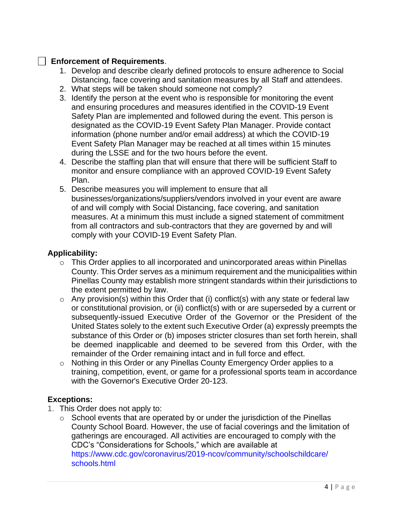### **Enforcement of Requirements**.

- 1. Develop and describe clearly defined protocols to ensure adherence to Social Distancing, face covering and sanitation measures by all Staff and attendees.
- 2. What steps will be taken should someone not comply?
- 3. Identify the person at the event who is responsible for monitoring the event and ensuring procedures and measures identified in the COVID-19 Event Safety Plan are implemented and followed during the event. This person is designated as the COVID-19 Event Safety Plan Manager. Provide contact information (phone number and/or email address) at which the COVID-19 Event Safety Plan Manager may be reached at all times within 15 minutes during the LSSE and for the two hours before the event.
- 4. Describe the staffing plan that will ensure that there will be sufficient Staff to monitor and ensure compliance with an approved COVID-19 Event Safety Plan.
- 5. Describe measures you will implement to ensure that all businesses/organizations/suppliers/vendors involved in your event are aware of and will comply with Social Distancing, face covering, and sanitation measures. At a minimum this must include a signed statement of commitment from all contractors and sub-contractors that they are governed by and will comply with your COVID-19 Event Safety Plan.

## **Applicability:**

- $\circ$  This Order applies to all incorporated and unincorporated areas within Pinellas County. This Order serves as a minimum requirement and the municipalities within Pinellas County may establish more stringent standards within their jurisdictions to the extent permitted by law.
- $\circ$  Any provision(s) within this Order that (i) conflict(s) with any state or federal law or constitutional provision, or (ii) conflict(s) with or are superseded by a current or subsequently-issued Executive Order of the Governor or the President of the United States solely to the extent such Executive Order (a) expressly preempts the substance of this Order or (b) imposes stricter closures than set forth herein, shall be deemed inapplicable and deemed to be severed from this Order, with the remainder of the Order remaining intact and in full force and effect.
- o Nothing in this Order or any Pinellas County Emergency Order applies to a training, competition, event, or game for a professional sports team in accordance with the Governor's Executive Order 20-123.

# **Exceptions:**

- 1. This Order does not apply to:
	- $\circ$  School events that are operated by or under the jurisdiction of the Pinellas County School Board. However, the use of facial coverings and the limitation of gatherings are encouraged. All activities are encouraged to comply with the CDC's "Considerations for Schools," which are available at https://www.cdc.gov/coronavirus/2019-ncov/community/schoolschildcare/ schools.html